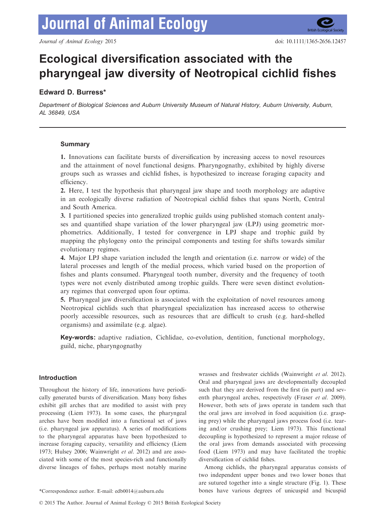

# Ecological diversification associated with the pharyngeal jaw diversity of Neotropical cichlid fishes

# Edward D. Burress\*

Department of Biological Sciences and Auburn University Museum of Natural History, Auburn University, Auburn, AL 36849, USA

# Summary

1. Innovations can facilitate bursts of diversification by increasing access to novel resources and the attainment of novel functional designs. Pharyngognathy, exhibited by highly diverse groups such as wrasses and cichlid fishes, is hypothesized to increase foraging capacity and efficiency.

2. Here, I test the hypothesis that pharyngeal jaw shape and tooth morphology are adaptive in an ecologically diverse radiation of Neotropical cichlid fishes that spans North, Central and South America.

3. I partitioned species into generalized trophic guilds using published stomach content analyses and quantified shape variation of the lower pharyngeal jaw (LPJ) using geometric morphometrics. Additionally, I tested for convergence in LPJ shape and trophic guild by mapping the phylogeny onto the principal components and testing for shifts towards similar evolutionary regimes.

4. Major LPJ shape variation included the length and orientation (i.e. narrow or wide) of the lateral processes and length of the medial process, which varied based on the proportion of fishes and plants consumed. Pharyngeal tooth number, diversity and the frequency of tooth types were not evenly distributed among trophic guilds. There were seven distinct evolutionary regimes that converged upon four optima.

5. Pharyngeal jaw diversification is associated with the exploitation of novel resources among Neotropical cichlids such that pharyngeal specialization has increased access to otherwise poorly accessible resources, such as resources that are difficult to crush (e.g. hard-shelled organisms) and assimilate (e.g. algae).

Key-words: adaptive radiation, Cichlidae, co-evolution, dentition, functional morphology, guild, niche, pharyngognathy

# Introduction

Throughout the history of life, innovations have periodically generated bursts of diversification. Many bony fishes exhibit gill arches that are modified to assist with prey processing (Liem 1973). In some cases, the pharyngeal arches have been modified into a functional set of jaws (i.e. pharyngeal jaw apparatus). A series of modifications to the pharyngeal apparatus have been hypothesized to increase foraging capacity, versatility and efficiency (Liem 1973; Hulsey 2006; Wainwright et al. 2012) and are associated with some of the most species-rich and functionally diverse lineages of fishes, perhaps most notably marine

wrasses and freshwater cichlids (Wainwright et al. 2012). Oral and pharyngeal jaws are developmentally decoupled such that they are derived from the first (in part) and seventh pharyngeal arches, respectively (Fraser et al. 2009). However, both sets of jaws operate in tandem such that the oral jaws are involved in food acquisition (i.e. grasping prey) while the pharyngeal jaws process food (i.e. tearing and/or crushing prey; Liem 1973). This functional decoupling is hypothesized to represent a major release of the oral jaws from demands associated with processing food (Liem 1973) and may have facilitated the trophic diversification of cichlid fishes.

Among cichlids, the pharyngeal apparatus consists of two independent upper bones and two lower bones that are sutured together into a single structure (Fig. 1). These \*Correspondence author. E-mail: edb0014@auburn.edu bones have various degrees of unicuspid and bicuspid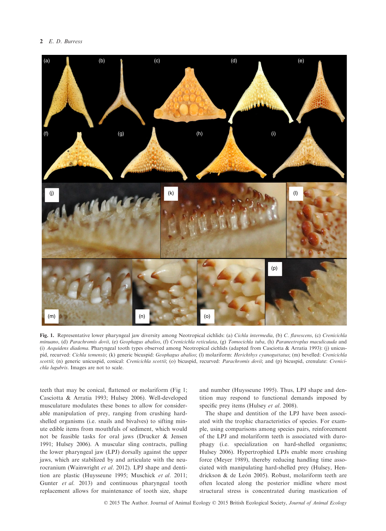# 2 E.D. Burress



Fig. 1. Representative lower pharyngeal jaw diversity among Neotropical cichlids: (a) Cichla intermedia, (b) C. flavescens, (c) Crenicichla minuano, (d) Parachromis dovii, (e) Geophagus abalios, (f) Crenicichla reticulata, (g) Tomocichla tuba, (h) Paraneetroplus maculicauda and (i) Aequidens diadema. Pharyngeal tooth types observed among Neotropical cichlids (adapted from Casciotta & Arratia 1993): (j) unicuspid, recurved: Cichla temensis; (k) generic bicuspid: Geophagus abalios; (l) molariform: Herichthys cyanoguttatus; (m) bevelled: Crenicichla scottii; (n) generic unicuspid, conical: Crenicichla scottii; (o) bicuspid, recurved: Parachromis dovii; and (p) bicuspid, crenulate: Crenicichla lugubris. Images are not to scale.

teeth that may be conical, flattened or molariform (Fig 1; Casciotta & Arratia 1993; Hulsey 2006). Well-developed musculature modulates these bones to allow for considerable manipulation of prey, ranging from crushing hardshelled organisms (i.e. snails and bivalves) to sifting minute edible items from mouthfuls of sediment, which would not be feasible tasks for oral jaws (Drucker & Jensen 1991; Hulsey 2006). A muscular sling contracts, pulling the lower pharyngeal jaw (LPJ) dorsally against the upper jaws, which are stabilized by and articulate with the neurocranium (Wainwright et al. 2012). LPJ shape and dentition are plastic (Huysseune 1995; Muschick et al. 2011; Gunter et al. 2013) and continuous pharyngeal tooth replacement allows for maintenance of tooth size, shape and number (Huysseune 1995). Thus, LPJ shape and dentition may respond to functional demands imposed by specific prey items (Hulsey et al. 2008).

The shape and dentition of the LPJ have been associated with the trophic characteristics of species. For example, using comparisons among species pairs, reinforcement of the LPJ and molariform teeth is associated with durophagy (i.e. specialization on hard-shelled organisms; Hulsey 2006). Hypertrophied LPJs enable more crushing force (Meyer 1989), thereby reducing handling time associated with manipulating hard-shelled prey (Hulsey, Hendrickson & de León 2005). Robust, molariform teeth are often located along the posterior midline where most structural stress is concentrated during mastication of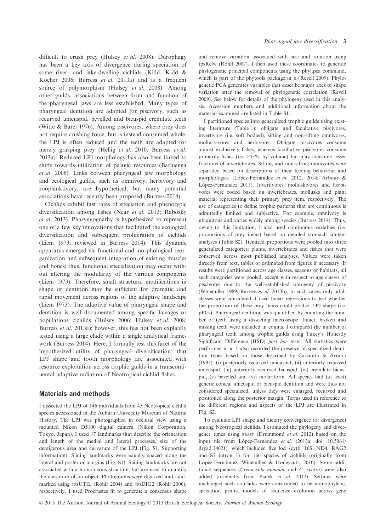difficult to crush prey (Hulsey et al. 2008). Durophagy has been a key axis of divergence during speciation of some river- and lake-dwelling cichlids (Kidd, Kidd & Kocher 2006; Burress et al. 2013a) and is a frequent source of polymorphism (Hulsey et al. 2008). Among other guilds, associations between form and function of the pharyngeal jaws are less established. Many types of pharyngeal dentition are adapted for piscivory, such as recurved unicuspid, bevelled and bicuspid crenulate teeth (Witte & Barel 1976). Among piscivores, where prey does not require crushing force, but is instead consumed whole, the LPJ is often reduced and the teeth are adapted for merely grasping prey (Hellig et al. 2010; Burress et al. 2013a). Reduced LPJ morphology has also been linked to shifts towards utilization of pelagic resources (Barluenga et al. 2006). Links between pharyngeal jaw morphology and ecological guilds, such as omnivory, herbivory and zooplanktivory, are hypothetical, but many potential associations have recently been proposed (Burress 2014).

Cichlids exhibit fast rates of speciation and phenotypic diversification among fishes (Near et al. 2013; Rabosky et al. 2013). Pharyngognathy is hypothesized to represent one of a few key innovations that facilitated the ecological diversification and subsequent proliferation of cichlids (Liem 1973; reviewed in Burress 2014). This dynamic apparatus emerged via functional and morphological reorganization and subsequent integration of existing muscles and bones; thus, functional specialization may occur without altering the modularity of the various components (Liem 1973). Therefore, small structural modifications in shape or dentition may be sufficient for dramatic and rapid movement across regions of the adaptive landscape (Liem 1973). The adaptive value of pharyngeal shape and dentition is well documented among specific lineages or populations cichlids (Hulsey 2006; Hulsey et al. 2008; Burress et al. 2013a); however, this has not been explicitly tested using a large clade within a single analytical framework (Burress 2014). Here, I formally test this facet of the hypothesized utility of pharyngeal diversification: that LPJ shape and tooth morphology are associated with resource exploitation across trophic guilds in a transcontinental adaptive radiation of Neotropical cichlid fishes.

# Materials and methods

I dissected the LPJ of 146 individuals from 45 Neotropical cichlid species accessioned in the Auburn University Museum of Natural History. The LPJ was photographed in occlusal view using a mounted Nikon D5100 digital camera (Nikon Corporation, Tokyo, Japan). I used 17 landmarks that describe the orientation and length of the medial and lateral processes, size of the dentigerous area and curvature of the LPJ (Fig. S1, Supporting information). Sliding landmarks were equally spaced along the lateral and posterior margins (Fig. S1). Sliding landmarks are not associated with a homologous structure, but are used to quantify the curvature of an object. Photographs were digitized and landmarked using TPSUTIL (Rohlf 2004) and TPSDIG2 (Rohlf 2006), respectively. I used Procrustes fit to generate a consensus shape

and remove variation associated with size and rotation using tpsRelw (Rohlf 2007). I then used these coordinates to generate phylogenetic principal components using the phyl.pca command, which is part of the phytools package in R (Revell 2009). Phylogenetic PCA generates variables that describe major axes of shape variation after the removal of phylogenetic correlation (Revell 2009). See below for details of the phylogeny used in this analysis. Accession numbers and additional information about the material examined are listed in Table S1.

I partitioned species into generalized trophic guilds using existing literature (Table 1): obligate and facultative piscivores, invertivore (i.e. soft bodied), sifting and non-sifting omnivores, molluskivores and herbivores. Obligate piscivores consume almost exclusively fishes, whereas facultative piscivores consume primarily fishes (i.e. >55% by volume) but may consume lesser fractions of invertebrates. Sifting and non-sifting omnivores were separated based on descriptions of their feeding behaviour and morphologies (López-Fernández et al. 2012, 2014; Arbour & López-Fernandez 2013). Invertivores, molluskivores and herbivores were coded based on invertebrates, mollusks and plant material representing their primary prey item, respectively. The use of categories to define trophic patterns that are continuous is admittedly limited and subjective. For example, omnivory is ubiquitous and varies widely among species (Burress 2014). Thus, owing to this limitation, I also used continuous variables (i.e. proportions of prey items) based on detailed stomach content analyses (Table S2). Itemized proportions were pooled into three generalized categories: plants, invertebrates and fishes that were conserved across most published analyses. Values were taken directly from text, tables or estimated from figures if necessary. If results were partitioned across age classes, seasons or habitats, all such categories were pooled, except with respect to age classes of piscivores due to the well-established ontogeny of piscivory (Winemiller 1989; Burress et al. 2013b). In such cases, only adult classes were considered. I used linear regressions to test whether the proportion of these prey items could predict LPJ shape (i.e. pPCs). Pharyngeal dentition was quantified by counting the number of teeth using a dissecting microscope. Intact, broken and missing teeth were included in counts. I compared the number of pharyngeal teeth among trophic guilds using Tukey's Honestly Significant Difference (HSD) post hoc tests. All statistics were performed in R. I also recorded the presence of specialized dentition types based on those described by Casciotta & Arratia (1993): (i) posteriorly recurved unicuspid, (ii) anteriorly recurved unicuspid, (iii) anteriorly recurved bicuspid, (iv) crenulate bicuspid, (v) bevelled and (vi) molariform. All species had (at least) generic conical unicuspid or bicuspid dentition and were thus not considered specialized, unless they were enlarged, recurved and positioned along the posterior margin. Terms used in reference to the different regions and aspects of the LPJ are illustrated in Fig. S2.

To evaluate LPJ shape and dietary convergence (or divergence) among Neotropical cichlids, I estimated the phylogeny and divergence times using BEAST (Drummond et al. 2012) based on the input file from López-Fernández et al. (2013a; doi: [10.5061/](http://dx.doi.org/10.5061/dryad.34621) [dryad.34621](http://dx.doi.org/10.5061/dryad.34621)), which included five loci (cytb, 16S, ND4, RAG2 and S7 intron 1) for 166 species of cichlids (originally from López-Fernández, Winemiller & Honeycutt, 2010). Some additional sequences (Crenicichla minuano and C. scottii) were also added (originally from Piálek et al. 2012). Settings were unchanged such as clades were constrained to be monophyletic, speciation priors, models of sequence evolution across gene

© 2015 The Author. Journal of Animal Ecology © 2015 British Ecological Society, Journal of Animal Ecology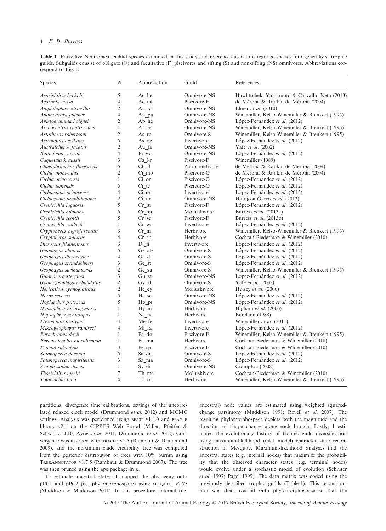# 4 E. D. Burress

Table 1. Forty-five Neotropical cichlid species examined in this study and references used to categorize species into generalized trophic guilds. Subguilds consist of obligate (O) and facultative (F) piscivores and sifting (S) and non-sifting (NS) omnivores. Abbreviations correspond to Fig. 2

| Species                    | $\boldsymbol{N}$ | Abbreviation | Guild          | References                                     |
|----------------------------|------------------|--------------|----------------|------------------------------------------------|
| Acarichthys heckelii       | 5                | Ac he        | Omnivore-NS    | Hawlitschek, Yamamoto & Carvalho-Neto (2013)   |
| Acaronia nassa             | $\overline{4}$   | Ac na        | Piscivore-F    | de Mérona & Rankin de Mérona (2004)            |
| Amphilophus citrinellus    | $\overline{c}$   | Am ci        | Omnivore-NS    | Elmer et al. $(2010)$                          |
| Andinoacara pulcher        | $\overline{4}$   | An pu        | Omnivore-NS    | Winemiller, Kelso-Winemiller & Brenkert (1995) |
| Apistogramma hoignei       | $\overline{c}$   | Ap_ho        | Omnivore-NS    | López-Fernández et al. (2012)                  |
| Archocentrus centrarchus   | $\mathbf{1}$     | Ar ce        | Omnivore-NS    | Winemiller, Kelso-Winemiller & Brenkert (1995) |
| Astatheros robertsoni      | $\overline{c}$   | As ro        | Omnivore-S     | Winemiller, Kelso-Winemiller & Brenkert (1995) |
| Astronotus ocellatus       | 5                | As oc        | Invertivore    | López-Fernández et al. (2012)                  |
| Australoheros facetus      | $\overline{c}$   | Au fa        | Omnivore-NS    | Yafe et al. (2002)                             |
| Biotodoma wavrini          | $\overline{4}$   | Bi wa        | Omnivore-NS    | López-Fernández et al. (2012)                  |
| Caquetaia kraussii         | 3                | Ca kr        | Piscivore-F    | Winemiller (1989)                              |
| Chaetobranchus flavescens  | 5                | $Ch_f$       | Zooplanktivore | de Mérona & Rankin de Mérona (2004)            |
| Cichla monoculus           | $\overline{c}$   | Ci mo        | Piscivore-O    | de Mérona & Rankin de Mérona (2004)            |
| Cichla orinocensis         | $\mathbf{1}$     | $Ci$ or      | Piscivore-O    | López-Fernández et al. (2012)                  |
| Cichla temensis            | 5                | $Ci$ _te     | Piscivore-O    | López-Fernández et al. (2012)                  |
| Cichlasoma orinocense      | $\overline{4}$   | Ci on        | Invertivore    | López-Fernández et al. (2012)                  |
| Cichlasoma urophthalmus    | $\overline{c}$   | Ci ur        | Omnivore-NS    | Hinojosa-Garro et al. (2013)                   |
| Crenicichla lugubris       | 5                | $Cr_1u$      | Piscivore-F    | López-Fernández et al. (2012)                  |
| Crenicichla minuano        | 6                | Cr mi        | Molluskivore   | Burress et al. (2013a)                         |
| Crenicichla scottii        | 5                | Cr sc        | Piscivore-F    | Burress et al. (2013b)                         |
| Crenicichla wallacii       | $\mathbf{1}$     | Cr wa        | Invertivore    | López-Fernández et al. (2012)                  |
| Cryptoheros nigrofasciatus | 3                | Cr ni        | Herbivore      | Winemiller, Kelso-Winemiller & Brenkert (1995) |
| Cryptoheros spilurus       | $\overline{4}$   | $Cr$ sp      | Herbivore      | Cochran-Biederman & Winemiller (2010)          |
| Dicrossus filamentosus     | 3                | Di fi        | Invertivore    | López-Fernández et al. (2012)                  |
| Geophagus abalios          | 5                | Ge ab        | Omnivore-S     | López-Fernández et al. (2012)                  |
| Geophagus dicrozoster      | $\overline{4}$   | Ge di        | Omnivore-S     | López-Fernández et al. (2012)                  |
| Geophagus steindachneri    | 3                | Ge st        | Omnivore-S     | López-Fernández et al. (2012)                  |
| Geophagus surinamensis     | $\overline{c}$   | Ge su        | Omnivore-S     | Winemiller, Kelso-Winemiller & Brenkert (1995) |
| Guianacara stergiosi       | 3                | $Gu_st$      | Omnivore-NS    | López-Fernández et al. (2012)                  |
| Gymnogeophagus rhabdotus   | $\overline{c}$   | Gy rh        | Omnivore-S     | Yafe et al. (2002)                             |
| Herichthys cyanoguttatus   | $\overline{c}$   | He cy        | Molluskivore   | Hulsey et al. (2006)                           |
| Heros severus              | 5                | He_se        | Omnivore-NS    | López-Fernández et al. (2012)                  |
| Hoplarchus psittacus       | 5                | Ho ps        | Omnivore-NS    | López-Fernández et al. (2012)                  |
| Hypsophrys nicaraguensis   | 1                | Hy ni        | Herbivore      | Higham et al. (2006)                           |
| Hypsophrys nematopus       | $\mathbf{1}$     | Ne ne        | Herbivore      | Burcham (1988)                                 |
| Mesonauta festivum         | 4                | Me fe        | Invertivore    | Winemiller et al. (2011)                       |
| Mikrogeophagus ramirezi    | $\overline{4}$   | Mi ra        | Invertivore    | López-Fernández et al. (2012)                  |
| Parachromis dovii          | $\mathbf{1}$     | Pa_do        | Piscivore-F    | Winemiller, Kelso-Winemiller & Brenkert (1995) |
| Paraneetroplus maculicauda | $\mathbf{1}$     | Pa_ma        | Herbivore      | Cochran-Biederman & Winemiller (2010)          |
| Petenia splendida          | 3                | Pe sp        | Piscivore-F    | Cochran-Biederman & Winemiller (2010)          |
| Satanoperca daemon         | 5                | Sa_da        | Omnivore-S     | López-Fernández et al. (2012)                  |
| Satanoperca mapiritensis   | 3                | Sa_ma        | Omnivore-S     | López-Fernández et al. (2012)                  |
| Symphysodon discus         | $\mathbf{1}$     | Sy di        | Omnivore-NS    | Crampton (2008)                                |
| Thorichthys meeki          | 7                | Th me        | Molluskivore   | Cochran-Biederman & Winemiller (2010)          |
| Tomocichla tuba            | $\overline{4}$   | To_tu        | Herbivore      | Winemiller, Kelso-Winemiller & Brenkert (1995) |

partitions, divergence time calibrations, settings of the uncorrelated relaxed clock model (Drummond et al. 2012) and MCMC settings. Analysis was performed using BEAST v1.8.0 and BEAGLE library v2.1 on the CIPRES Web Portal (Miller, Pfeiffer & Schwartz 2010; Ayres et al. 2011; Drummond et al. 2012). Convergence was assessed with TRACER v1.5 (Rambaut & Drummond 2009), and the maximum clade credibility tree was computed from the posterior distribution of trees with 10% burnin using TREEANNOTATOR v1.7.5 (Rambaut & Drummond 2007). The tree was then pruned using the ape package in R.

To estimate ancestral states, I mapped the phylogeny onto pPC1 and pPC2 (i.e. phylomorphospace) using MESQUITE v2.75 (Maddison & Maddison 2011). In this procedure, internal (i.e.

ancestral) node values are estimated using weighted squaredchange parsimony (Maddison 1991; Revell et al. 2007). The resulting phylomorphospace depicts both the magnitude and the direction of shape change along each branch. Lastly, I estimated the evolutionary history of trophic guild diversification using maximum-likelihood (mk1 model) character state reconstruction in Mesquite. Maximum-likelihood analyses find the ancestral states (e.g. internal nodes) that maximize the probability that the observed character states (e.g. terminal nodes) would evolve under a stochastic model of evolution (Schluter et al. 1997; Pagel 1999). The data matrix was coded using the previously described trophic guilds (Table 1). This reconstruction was then overlaid onto phylomorphospace so that the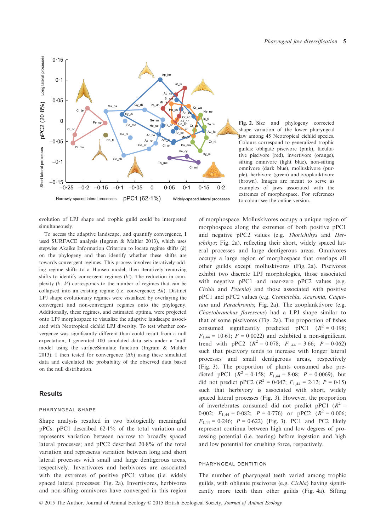

Fig. 2. Size and phylogeny corrected shape variation of the lower pharyngeal jaw among 45 Neotropical cichlid species. Colours correspond to generalized trophic guilds: obligate piscivore (pink), facultative piscivore (red), invertivore (orange), sifting omnivore (light blue), non-sifting omnivore (dark blue), molluskivore (purple), herbivore (green) and zooplanktivore (brown). Images are meant to serve as examples of jaws associated with the extremes of morphospace. For references to colour see the online version.

evolution of LPJ shape and trophic guild could be interpreted simultaneously.

To access the adaptive landscape, and quantify convergence, I used SURFACE analysis (Ingram & Mahler 2013), which uses stepwise Akaike Information Criterion to locate regime shifts  $(k)$ on the phylogeny and then identify whether these shifts are towards convergent regimes. This process involves iteratively adding regime shifts to a Hansen model, then iteratively removing shifts to identify convergent regimes  $(k')$ . The reduction in complexity  $(k-k')$  corresponds to the number of regimes that can be collapsed into an existing regime (i.e. convergence;  $\Delta k$ ). Distinct LPJ shape evolutionary regimes were visualized by overlaying the convergent and non-convergent regimes onto the phylogeny. Additionally, these regimes, and estimated optima, were projected onto LPJ morphospace to visualize the adaptive landscape associated with Neotropical cichlid LPJ diversity. To test whether convergence was significantly different than could result from a null expectation, I generated 100 simulated data sets under a 'null' model using the surfaceSimulate function (Ingram & Mahler 2013). I then tested for convergence  $(\Delta k)$  using these simulated data and calculated the probability of the observed data based on the null distribution.

# **Results**

## pharyngeal shape

Shape analysis resulted in two biologically meaningful pPCs: pPC1 described 621% of the total variation and represents variation between narrow to broadly spaced lateral processes; and pPC2 described 208% of the total variation and represents variation between long and short lateral processes with small and large dentigerous areas, respectively. Invertivores and herbivores are associated with the extremes of positive pPC1 values (i.e. widely spaced lateral processes; Fig. 2a). Invertivores, herbivores and non-sifting omnivores have converged in this region of morphospace. Molluskivores occupy a unique region of morphospace along the extremes of both positive pPC1 and negative pPC2 values (e.g. Thorichthys and Herichthys; Fig. 2a), reflecting their short, widely spaced lateral processes and large dentigerous areas. Omnivores occupy a large region of morphospace that overlaps all other guilds except molluskivores (Fig. 2a). Piscivores exhibit two discrete LPJ morphologies, those associated with negative pPC1 and near-zero pPC2 values (e.g. Cichla and Petenia) and those associated with positive pPC1 and pPC2 values (e.g. Crenicichla, Acaronia, Caquetaia and Parachromis; Fig. 2a). The zooplanktivore (e.g. Chaetobranchus flavescens) had a LPJ shape similar to that of some piscivores (Fig. 2a). The proportion of fishes consumed significantly predicted pPC1 ( $R^2 = 0.198$ ;  $F_{1,44} = 10.61$ ;  $P = 0.0022$ ) and exhibited a non-significant trend with pPC2  $(R^2 = 0.078; F_{1,44} = 3.66; P = 0.062)$ such that piscivory tends to increase with longer lateral processes and small dentigerous areas, respectively (Fig. 3). The proportion of plants consumed also predicted pPC1 ( $R^2 = 0.158$ ;  $F_{1,44} = 8.08$ ;  $P = 0.0069$ ), but did not predict pPC2 ( $R^2 = 0.047$ ;  $F_{1,44} = 2.12$ ;  $P = 0.15$ ) such that herbivory is associated with short, widely spaced lateral processes (Fig. 3). However, the proportion of invertebrates consumed did not predict pPC1 ( $R^2$  = 0.002;  $F_{1,44} = 0.082$ ;  $P = 0.776$ ) or pPC2 ( $R^2 = 0.006$ ;  $F_{1,44} = 0.246$ ;  $P = 0.622$ ) (Fig. 3). PC1 and PC2 likely represent continua between high and low degrees of processing potential (i.e. tearing) before ingestion and high and low potential for crushing force, respectively.

## pharyngeal dentition

The number of pharyngeal teeth varied among trophic guilds, with obligate piscivores (e.g. Cichla) having significantly more teeth than other guilds (Fig. 4a). Sifting

© 2015 The Author. Journal of Animal Ecology © 2015 British Ecological Society, Journal of Animal Ecology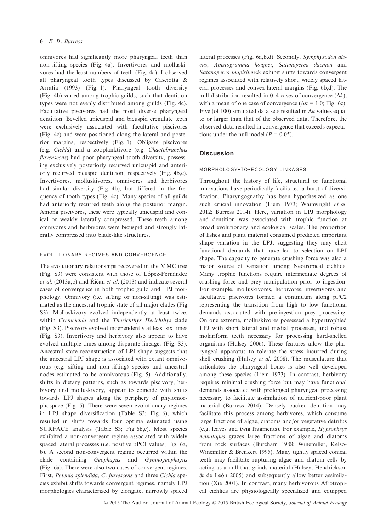omnivores had significantly more pharyngeal teeth than non-sifting species (Fig. 4a). Invertivores and molluskivores had the least numbers of teeth (Fig. 4a). I observed all pharyngeal tooth types discussed by Casciotta & Arratia (1993) (Fig. 1). Pharyngeal tooth diversity (Fig. 4b) varied among trophic guilds, such that dentition types were not evenly distributed among guilds (Fig. 4c). Facultative piscivores had the most diverse pharyngeal dentition. Bevelled unicuspid and bicuspid crenulate teeth were exclusively associated with facultative piscivores (Fig. 4c) and were positioned along the lateral and posterior margins, respectively (Fig. 1). Obligate piscivores (e.g. Cichla) and a zooplanktivore (e.g. Chaetobranchus flavenscens) had poor pharyngeal tooth diversity, possessing exclusively posteriorly recurved unicuspid and anteriorly recurved bicuspid dentition, respectively (Fig. 4b,c). Invertivores, molluskivores, omnivores and herbivores had similar diversity (Fig. 4b), but differed in the frequency of tooth types (Fig. 4c). Many species of all guilds had anteriorly recurred teeth along the posterior margin. Among piscivores, these were typically unicuspid and conical or weakly laterally compressed. These teeth among omnivores and herbivores were bicuspid and strongly laterally compressed into blade-like structures.

#### evolutionary regimes and convergence

The evolutionary relationships recovered in the MMC tree (Fig. S3) were consistent with those of López-Fernández et al. (2013a,b) and Říčan et al. (2013) and indicate several cases of convergence in both trophic guild and LPJ morphology. Omnivory (i.e. sifting or non-sifting) was estimated as the ancestral trophic state of all major clades (Fig S3). Molluskivory evolved independently at least twice, within Crenicichla and the Thorichthys+Herichthys clade (Fig. S3). Piscivory evolved independently at least six times (Fig. S3). Invertivory and herbivory also appear to have evolved multiple times among disparate lineages (Fig. S3). Ancestral state reconstruction of LPJ shape suggests that the ancestral LPJ shape is associated with extant omnivorous (e.g. sifting and non-sifting) species and ancestral nodes estimated to be omnivorous (Fig. 5). Additionally, shifts in dietary patterns, such as towards piscivory, herbivory and molluskivory, appear to coincide with shifts towards LPJ shapes along the periphery of phylomorphospace (Fig. 5). There were seven evolutionary regimes in LPJ shape diversification (Table S3; Fig. 6), which resulted in shifts towards four optima estimated using SURFACE analysis (Table S3; Fig 6b,c). Most species exhibited a non-convergent regime associated with widely spaced lateral processes (i.e. positive pPC1 values; Fig. 6a, b). A second non-convergent regime occurred within the clade containing Geophagus and Gymnogeophagus (Fig. 6a). There were also two cases of convergent regimes. First, Petenia splendida, C. flavescens and three Cichla species exhibit shifts towards convergent regimes, namely LPJ morphologies characterized by elongate, narrowly spaced

lateral processes (Fig. 6a,b,d). Secondly, Symphysodon discus, Apistogramma hoignei, Satanoperca daemon and Satanoperca mapiritensis exhibit shifts towards convergent regimes associated with relatively short, widely spaced lateral processes and convex lateral margins (Fig. 6b,d). The null distribution resulted in 0–4 cases of convergence  $(\Delta k)$ , with a mean of one case of convergence ( $\Delta k = 1.0$ ; Fig. 6c). Five (of 100) simulated data sets resulted in  $\Delta k$  values equal to or larger than that of the observed data. Therefore, the observed data resulted in convergence that exceeds expectations under the null model ( $P = 0.05$ ).

# **Discussion**

#### morphology-to-ecology linkages

Throughout the history of life, structural or functional innovations have periodically facilitated a burst of diversification. Pharyngognathy has been hypothesized as one such crucial innovation (Liem 1973; Wainwright et al. 2012; Burress 2014). Here, variation in LPJ morphology and dentition was associated with trophic function at broad evolutionary and ecological scales. The proportion of fishes and plant material consumed predicted important shape variation in the LPJ, suggesting they may elicit functional demands that have led to selection on LPJ shape. The capacity to generate crushing force was also a major source of variation among Neotropical cichlids. Many trophic functions require intermediate degrees of crushing force and prey manipulation prior to ingestion. For example, molluskivores, herbivores, invertivores and facultative piscivores formed a continuum along pPC2 representing the transition from high to low functional demands associated with pre-ingestion prey processing. On one extreme, molluskivores possessed a hypertrophied LPJ with short lateral and medial processes, and robust molariform teeth necessary for processing hard-shelled organisms (Hulsey 2006). These features allow the pharyngeal apparatus to tolerate the stress incurred during shell crushing (Hulsey et al. 2008). The musculature that articulates the pharyngeal bones is also well developed among these species (Liem 1973). In contrast, herbivory requires minimal crushing force but may have functional demands associated with prolonged pharyngeal processing necessary to facilitate assimilation of nutrient-poor plant material (Burress 2014). Densely packed dentition may facilitate this process among herbivores, which consume large fractions of algae, diatoms and/or vegetative detritus (e.g. leaves and twig fragments). For example, Hypsophrys nematopus grazes large fractions of algae and diatoms from rock surfaces (Burcham 1988; Winemiller, Kelso-Winemiller & Brenkert 1995). Many tightly spaced conical teeth may facilitate rupturing algae and diatom cells by acting as a mill that grinds material (Hulsey, Hendrickson  $&$  de León 2005) and subsequently allow better assimilation (Xie 2001). In contrast, many herbivorous Afrotropical cichlids are physiologically specialized and equipped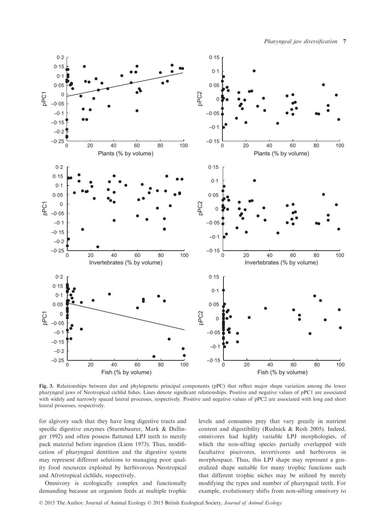

Fig. 3. Relationships between diet and phylogenetic principal components (pPC) that reflect major shape variation among the lower pharyngeal jaws of Neotropical cichlid fishes. Lines denote significant relationships. Positive and negative values of pPC1 are associated with widely and narrowly spaced lateral processes, respectively. Positive and negative values of pPC2 are associated with long and short lateral processes, respectively.

for algivory such that they have long digestive tracts and specific digestive enzymes (Sturmbaurer, Mark & Dallinger 1992) and often possess flattened LPJ teeth to merely pack material before ingestion (Liem 1973). Thus, modification of pharyngeal dentition and the digestive system may represent different solutions to managing poor quality food resources exploited by herbivorous Neotropical and Afrotropical cichlids, respectively.

Omnivory is ecologically complex and functionally demanding because an organism feeds at multiple trophic levels and consumes prey that vary greatly in nutrient content and digestibility (Rudnick & Resh 2005). Indeed, omnivores had highly variable LPJ morphologies, of which the non-sifting species partially overlapped with facultative piscivores, invertivores and herbivores in morphospace. Thus, this LPJ shape may represent a generalized shape suitable for many trophic functions such that different trophic niches may be utilized by merely modifying the types and number of pharyngeal teeth. For example, evolutionary shifts from non-sifting omnivory to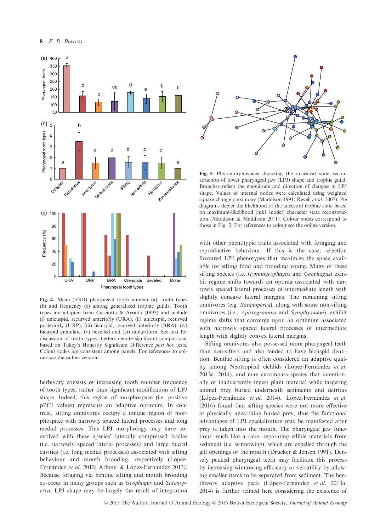

Fig. 4. Mean  $(\pm SD)$  pharyngeal tooth number (a), tooth types (b) and frequency (c) among generalized trophic guilds. Tooth types are adapted from Casciotta & Arratia (1993) and include (i) unicuspid, recurved anteriorly (URA), (ii) unicuspid, recurved posteriorly (URP), (iii) bicuspid, recurved anteriorly (BRA), (iv) bicuspid crenulate, (v) bevelled and (vi) molariform. See text for discussion of tooth types. Letters denote significant comparisons based on Tukey's Honestly Significant Difference post hoc tests. Colour codes are consistent among panels. For references to colour see the online version.

herbivory consists of increasing tooth number frequency of tooth types, rather than significant modification of LPJ shape. Indeed, this region of morphospace (i.e. positive pPC1 values) represents an adaptive optimum. In contrast, sifting omnivores occupy a unique region of morphospace with narrowly spaced lateral processes and long medial processes. This LPJ morphology may have coevolved with these species' laterally compressed bodies (i.e. narrowly spaced lateral processes) and large buccal cavities (i.e. long medial processes) associated with sifting behaviour and mouth brooding, respectively (López-Fernández et al. 2012; Arbour & López-Fernandez 2013). Because foraging via benthic sifting and mouth brooding co-occur in many groups such as Geophagus and Satanoperca, LPJ shape may be largely the result of integration



Fig. 5. Phylomorphospace depicting the ancestral state reconstruction of lower pharyngeal jaw (LPJ) shape and trophic guild. Branches reflect the magnitude and direction of changes in LPJ shape. Values of internal nodes were calculated using weighted square-change parsimony (Maddison 1991; Revell et al. 2007). Pie diagrams depict the likelihood of the ancestral trophic state based on maximum-likelihood (mk1 model) character state reconstruction (Maddison & Maddison 2011). Colour codes correspond to those in Fig. 2. For references to colour see the online version.

with other phenotypic traits associated with foraging and reproductive behaviour. If this is the case, selection favoured LPJ phenotypes that maximize the space available for sifting food and brooding young. Many of these sifting species (i.e. Gymnogeophagus and Geophagus) exhibit regime shifts towards an optima associated with narrowly spaced lateral processes of intermediate length with slightly concave lateral margins. The remaining sifting omnivores (e.g. Satanoperca), along with some non-sifting omnivores (i.e., Apistogramma and Symphysodon), exhibit regime shifts that converge upon an optimum associated with narrowly spaced lateral processes of intermediate length with slightly convex lateral margins.

Sifting omnivores also possessed more pharyngeal teeth than non-sifters and also tended to have bicuspid dentition. Benthic sifting is often considered an adaptive quality among Neotropical cichlids (López-Fernández et al. 2013a, 2014), and may encompass species that intentionally or inadvertently ingest plant material while targeting animal prey buried underneath sediments and detritus (López-Fernández et al. 2014). López-Fernández et al. (2014) found that sifting species were not more effective at physically unearthing buried prey, thus the functional advantages of LPJ specialization may be manifested after prey is taken into the mouth. The pharyngeal jaw functions much like a rake, separating edible materials from sediment (i.e. winnowing), which are expelled through the gill openings or the mouth (Drucker & Jensen 1991). Densely packed pharyngeal teeth may facilitate this process by increasing winnowing efficiency or versatility by allowing smaller items to be separated from sediment. The benthivory adaptive peak (López-Fernández et al. 2013a, 2014) is further refined here considering the existence of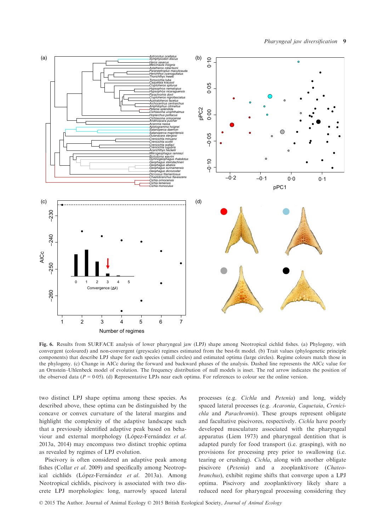

Fig. 6. Results from SURFACE analysis of lower pharyngeal jaw (LPJ) shape among Neotropical cichlid fishes. (a) Phylogeny, with convergent (coloured) and non-convergent (greyscale) regimes estimated from the best-fit model. (b) Trait values (phylogenetic principle components) that describe LPJ shape for each species (small circles) and estimated optima (large circles). Regime colours match those in the phylogeny. (c) Change in AICc during the forward and backward phases of the analysis. Dashed line represents the AICc value for an Ornstein–Uhlenbeck model of evolution. The frequency distribution of null models is inset. The red arrow indicates the position of the observed data ( $P = 0.05$ ). (d) Representative LPJs near each optima. For references to colour see the online version.

two distinct LPJ shape optima among these species. As described above, these optima can be distinguished by the concave or convex curvature of the lateral margins and highlight the complexity of the adaptive landscape such that a previously identified adaptive peak based on behaviour and external morphology (López-Fernández et al. 2013a, 2014) may encompass two distinct trophic optima as revealed by regimes of LPJ evolution.

Piscivory is often considered an adaptive peak among fishes (Collar et al. 2009) and specifically among Neotropical cichlids (López-Fernández et al. 2013a). Among Neotropical cichlids, piscivory is associated with two discrete LPJ morphologies: long, narrowly spaced lateral

processes (e.g. Cichla and Petenia) and long, widely spaced lateral processes (e.g. Acaronia, Caquetaia, Crenicichla and Parachromis). These groups represent obligate and facultative piscivores, respectively. Cichla have poorly developed musculature associated with the pharyngeal apparatus (Liem 1973) and pharyngeal dentition that is adapted purely for food transport (i.e. grasping), with no provisions for processing prey prior to swallowing (i.e. tearing or crushing). Cichla, along with another obligate piscivore (Petenia) and a zooplanktivore (Chateobranchus), exhibit regime shifts that converge upon a LPJ optima. Piscivory and zooplanktivory likely share a reduced need for pharyngeal processing considering they

© 2015 The Author. Journal of Animal Ecology © 2015 British Ecological Society, Journal of Animal Ecology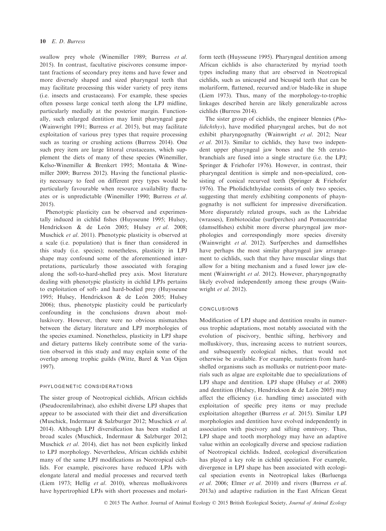swallow prey whole (Winemiller 1989; Burress et al. 2015). In contrast, facultative piscivores consume important fractions of secondary prey items and have fewer and more diversely shaped and sized pharyngeal teeth that may facilitate processing this wider variety of prey items (i.e. insects and crustaceans). For example, these species often possess large conical teeth along the LPJ midline, particularly medially at the posterior margin. Functionally, such enlarged dentition may limit pharyngeal gape (Wainwright 1991; Burress et al. 2015), but may facilitate exploitation of various prey types that require processing such as tearing or crushing actions (Burress 2014). One such prey item are large littoral crustaceans, which supplement the diets of many of these species (Winemiller, Kelso-Winemiller & Brenkert 1995; Montaña & Winemiller 2009; Burress 2012). Having the functional plasticity necessary to feed on different prey types would be particularly favourable when resource availability fluctuates or is unpredictable (Winemiller 1990; Burress et al. 2015).

Phenotypic plasticity can be observed and experimentally induced in cichlid fishes (Huysseune 1995; Hulsey, Hendrickson & de León 2005; Hulsey et al. 2008; Muschick et al. 2011). Phenotypic plasticity is observed at a scale (i.e. population) that is finer than considered in this study (i.e. species); nonetheless, plasticity in LPJ shape may confound some of the aforementioned interpretations, particularly those associated with foraging along the soft-to-hard-shelled prey axis. Most literature dealing with phenotypic plasticity in cichlid LPJs pertains to exploitation of soft- and hard-bodied prey (Huysseune 1995; Hulsey, Hendrickson & de León 2005; Hulsey 2006); thus, phenotypic plasticity could be particularly confounding in the conclusions drawn about molluskivory. However, there were no obvious mismatches between the dietary literature and LPJ morphologies of the species examined. Nonetheless, plasticity in LPJ shape and dietary patterns likely contribute some of the variation observed in this study and may explain some of the overlap among trophic guilds (Witte, Barel & Van Oijen 1997).

## phylogenetic considerations

The sister group of Neotropical cichlids, African cichlids (Pseudocrenilabrinae), also exhibit diverse LPJ shapes that appear to be associated with their diet and diversification (Muschick, Indermaur & Salzburger 2012; Muschick et al. 2014). Although LPJ diversification has been studied at broad scales (Muschick, Indermaur & Salzburger 2012; Muschick et al. 2014), diet has not been explicitly linked to LPJ morphology. Nevertheless, African cichlids exhibit many of the same LPJ modifications as Neotropical cichlids. For example, piscivores have reduced LPJs with elongate lateral and medial processes and recurved teeth (Liem 1973; Hellig et al. 2010), whereas molluskivores have hypertrophied LPJs with short processes and molariform teeth (Huysseune 1995). Pharyngeal dentition among African cichlids is also characterized by myriad tooth types including many that are observed in Neotropical cichlids, such as unicuspid and bicuspid teeth that can be molariform, flattened, recurved and/or blade-like in shape (Liem 1973). Thus, many of the morphology-to-trophic linkages described herein are likely generalizable across cichlids (Burress 2014).

The sister group of cichlids, the engineer blennies (Pholidichthys), have modified pharyngeal arches, but do not exhibit pharyngognathy (Wainwright et al. 2012; Near et al. 2013). Similar to cichlids, they have two independent upper pharyngeal jaw bones and the 5th ceratobranchials are fused into a single structure (i.e. the LPJ; Springer & Friehofer 1976). However, in contrast, their pharyngeal dentition is simple and non-specialized, consisting of conical recurved teeth (Springer & Friehofer 1976). The Pholidichthyidae consists of only two species, suggesting that merely exhibiting components of phayngognathy is not sufficient for impressive diversification. More disparately related groups, such as the Labridae (wrasses), Embiotocidae (surfperches) and Pomacentridae (damselfishes) exhibit more diverse pharyngeal jaw morphologies and correspondingly more species diversity (Wainwright et al. 2012). Surfperches and damselfishes have perhaps the most similar pharyngeal jaw arrangement to cichlids, such that they have muscular slings that allow for a biting mechanism and a fused lower jaw element (Wainwright et al. 2012). However, pharyngognathy likely evolved independently among these groups (Wainwright et al. 2012).

## conclusions

Modification of LPJ shape and dentition results in numerous trophic adaptations, most notably associated with the evolution of piscivory, benthic sifting, herbivory and molluskivory, thus, increasing access to nutrient sources, and subsequently ecological niches, that would not otherwise be available. For example, nutrients from hardshelled organisms such as mollusks or nutrient-poor materials such as algae are exploitable due to specializations of LPJ shape and dentition. LPJ shape (Hulsey et al. 2008) and dentition (Hulsey, Hendrickson & de León 2005) may affect the efficiency (i.e. handling time) associated with exploitation of specific prey items or may preclude exploitation altogether (Burress et al. 2015). Similar LPJ morphologies and dentition have evolved independently in association with piscivory and sifting omnivory. Thus, LPJ shape and tooth morphology may have an adaptive value within an ecologically diverse and speciose radiation of Neotropical cichlids. Indeed, ecological diversification has played a key role in cichlid speciation. For example, divergence in LPJ shape has been associated with ecological speciation events in Neotropical lakes (Barluenga et al. 2006; Elmer et al. 2010) and rivers (Burress et al. 2013a) and adaptive radiation in the East African Great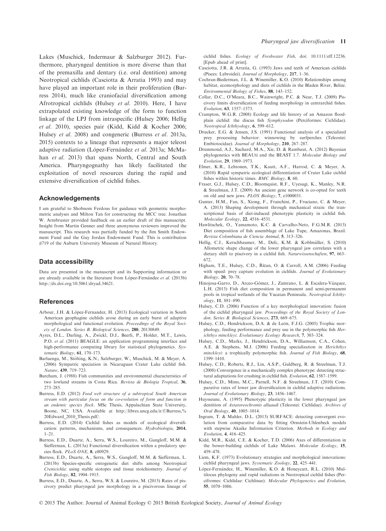Lakes (Muschick, Indermaur & Salzburger 2012). Furthermore, pharyngeal dentition is more diverse than that of the premaxilla and dentary (i.e. oral dentition) among Neotropical cichlids (Casciotta & Arratia 1993) and may have played an important role in their proliferation (Burress 2014), much like craniofacial diversification among Afrotropical cichlids (Hulsey et al. 2010). Here, I have extrapolated existing knowledge of the form to function linkage of the LPJ from intraspecific (Hulsey 2006; Hellig et al. 2010), species pair (Kidd, Kidd & Kocher 2006; Hulsey et al. 2008) and congeneric (Burress et al. 2013a, 2015) contexts to a lineage that represents a major teleost adaptive radiation (López-Fernández et al. 2013a; McMahan et al. 2013) that spans North, Central and South America. Pharyngognathy has likely facilitated the exploitation of novel resources during the rapid and extensive diversification of cichlid fishes.

#### Acknowledgements

I am grateful to Shobnom Ferdous for guidance with geometric morphometric analyses and Milton Tan for constructing the MCC tree. Jonathan W. Armbruster provided feedback on an earlier draft of this manuscript. Insight from Martin Genner and three anonymous reviewers improved the manuscript. This research was partially funded by the Jim Smith Endowment Fund and the Guy Jordan Endowment Fund. This is contribution #719 of the Auburn University Museum of Natural History.

#### Data accessibility

Data are presented in the manuscript and its Supporting information or are already available in the literature from López-Fernández et al. (2013b) <http://dx.doi.org/10.5061/dryad.34621>.

#### **References**

- Arbour, J.H. & López-Fernandez, H. (2013) Ecological variation in South American geophagine cichlids arose during an early burst of adaptive morphological and functional evolution. Proceedings of the Royal Society of London. Series B. Biological Sciences, 280, 20130849.
- Ayres, D.L., Darling, A., Zwickl, D.J., Beerli, P., Holder, M.T., Lewis, P.O. et al. (2011) BEAGLE: an application programming interface and high-performance computing library for statistical phylogenetics. Systematic Biology, 61, 170–173.
- Barluenga, M., Stölting, K.N., Salzburger, W., Muschick, M. & Meyer, A. (2006) Sympatric speciation in Nicaraguan Crater Lake cichlid fish. Nature, 439, 719–723.
- Burcham, J. (1988) Fish communities and environmental characteristics of two lowland streams in Costa Rica. Revista de Biologia Tropical, 36, 273–285.
- Burress, E.D. (2012) Food web structure of a subtropical South American stream with particular focus on the co-evolution of form and function in an endemic species flock. MSc Thesis, Appalachian State University, Boone, NC, USA. Available at [http://libres.uncg.edu/ir/f/Burress,%](http://libres.uncg.edu/ir/f/Burress,%20Edward_2010_Thesis.pdf/) [20Edward\\_2010\\_Thesis.pdf/.](http://libres.uncg.edu/ir/f/Burress,%20Edward_2010_Thesis.pdf/)
- Burress, E.D. (2014) Cichlid fishes as models of ecological diversification: patterns, mechanisms, and consequences. Hydrobiologia, 2014, 1–21.
- Burress, E.D., Duarte, A., Serra, W.S., Loureiro, M., Gangloff, M.M. & Siefferman, L. (2013a) Functional diversification within a predatory species flock. PLoS ONE, 8, e80929.
- Burress, E.D., Duarte, A., Serra, W.S., Gangloff, M.M. & Siefferman, L. (2013b) Species-specific ontogenetic diet shifts among Neotropical
- 
- Crenicichla: using stable siotopes and tissue stoichiometry. Journal of Fish Biology, 82, 1904–1915.

cichlid fishes. Ecology of Freshwater Fish, doi: [10.1111/eff.12236.](http://dx.doi.org/10.1111/eff.12236) [Epub ahead of print].

- Casciotta, J.R. & Arratia, G. (1993) Jaws and teeth of American cichlids (Pisces: Labroidei). Journal of Morphology, 217, 1-36.
- Cochran-Biederman, J.L. & Winemiller, K.O. (2010) Relationships among habitat, ecomorphology and diets of cichlids in the Bladen River, Belize. Environmental Biology of Fishes, 88, 143–152.
- Collar, D.C., O'Meara, B.C., Wainwright, P.C. & Near, T.J. (2009) Piscivory limits diversification of feeding morphology in centrarchid fishes.
- Evolution, 63, 1557–1573. Crampton, W.G.R. (2008) Ecology and life history of an Amazon floodplain cichlid: the discus fish Symphysodon (Perciformes: Cichlidae). Neotropical Ichthyology, 6, 599–612.
- Drucker, E.G. & Jensen, J.S. (1991) Functional analysis of a specialized prey processing behavior: winnowing by surfperches (Teleostei: Embiotocidae). Journal of Morphology, 210, 267–287.
- Drummond, A.J., Suchard, M.A., Xie, D. & Rambaut, A. (2012) Bayesian phylogenetics with BEAUti and the BEAST 1.7. Molecular Biology and Evolution, 29, 1969–1973.
- Elmer, K.R., Lehtonen, T.K., Kautt, A.F., Harrod, C. & Meyer, A. (2010) Rapid sympatric ecological differentiation of Crater Lake cichlid fishes within historic times. BMC Biology, 8, 60.
- Fraser, G.J., Hulsey, C.D., Bloomquist, R.F., Uyesugi, K., Manley, N.R. & Streelman, J.T. (2009) An ancient gene network is co-opted for teeth on old and new jaws. PLOS Biology, 7, e1000031.
- Gunter, H.M., Fan, S., Xiong, F., Franchini, P., Fruciano, C. & Meyer, A. (2013) Shaping development through mechanical strain: the transcriptional basis of diet-induced phenotypic plasticity in cichlid fish. Molecular Ecology, 22, 4516–4531.
- Hawlitschek, O., Yamamoto, K.C. & Carvalho-Neto, F.G.M.R. (2013) Diet composition of fish assemblage of Lake Tupe, Amazonas, Brazil. Revista Colombiana de Ciencia Animal, 5, 313–326.
- Hellig, C.J., Kerschbaumer, M., Defc, K.M. & Koblmüller, S. (2010) Allometric shape change of the lower pharyngeal jaw correlates with a dietary shift to piscivory in a cichlid fish. Naturwissenschaften, 97, 663– 672.
- Higham, T.E., Hulsey, C.D., Říčan, O. & Carroll, A.M. (2006) Feeding with speed: prey capture evolution in cichlids. Journal of Evolutionary Biology, 20, 70–78.
- Hinojosa-Garro, D., Arceo-Gómez, J., Zamrano, L. & Escalera-Vázquez, L.H. (2013) Fish diet composition in permanent and semi-permanent pools in tropical wetlands of the Yucatan Peninsula. Neotropical Ichthyology, 11, 881–890.
- Hulsey, C.D. (2006) Function of a key morphological innovation: fusion of the cichlid pharyngeal jaw. Proceedings of the Royal Society of London. Series B. Biological Sciences, 273, 669-675.
- Hulsey, C.D., Hendrickson, D.A. & de León, F.J.G. (2005) Trophic morphology, feeding performance and prey use in the polymorphic fish Herichthys minckleyi. Evolutionary Ecology Research, 7, 303–324.
- Hulsey, C.D., Marks, J., Hendrickson, D.A., Williamson, C.A., Cohen, A.E. & Stephens, M.J. (2006) Feeding specialization in Herichthys minckleyi: a trophically polymorphic fish. Journal of Fish Biology, 68, 1399–1410.
- Hulsey, C.D., Roberts, R.J., Lin, A.S.P., Guldberg, R. & Streelman, T.J. (2008) Convergence in a mechanically complex phenotype: detecting structural adaptations for crushing in cichlid fish. Evolution, 62, 1587–1599.
- Hulsey, C.D., Mims, M.C., Parnell, N.F. & Streelman, J.T. (2010) Comparative rates of lower jaw diversification in cichlid adaptive radiations. Journal of Evolutionary Biology, 23, 1456–1467.
- Huysseune, A. (1995) Phenotypic plasticity in the lower pharyngeal jaw dentition of Astatoreochromis alluaudi (Teleostei: Cichlidae). Archives of Oral Biology, 40, 1005–1014.
- Ingram, T. & Mahler, D.L. (2013) SURFACE: detecting convergent evolution from comparative data by fitting Ornstein-Uhlenbeck models with stepwise Akaike Information Criterion. Methods in Ecology and Evolution, 4, 416–425.
- Kidd, M.R., Kidd, C.E. & Kocher, T.D. (2006) Axes of differentiation in the bower-building cichlids of Lake Malawi. Molecular Ecology, 15, 459–478.
- Liem, K.F. (1973) Evolutionary strategies and morphological innovations: cichlid pharyngeal jaws. Systematic Zoology, 22, 425–441.
- López-Fernández, H., Winemiller, K.O. & Honeycutt, R.L. (2010) Multilocus phylogeny and rapid radiations in Neotropical cichlid fishes (Percifromes: Cichlidae: Cichlinae). Molecular Phylogenetics and Evolution, 55, 1070–1086.